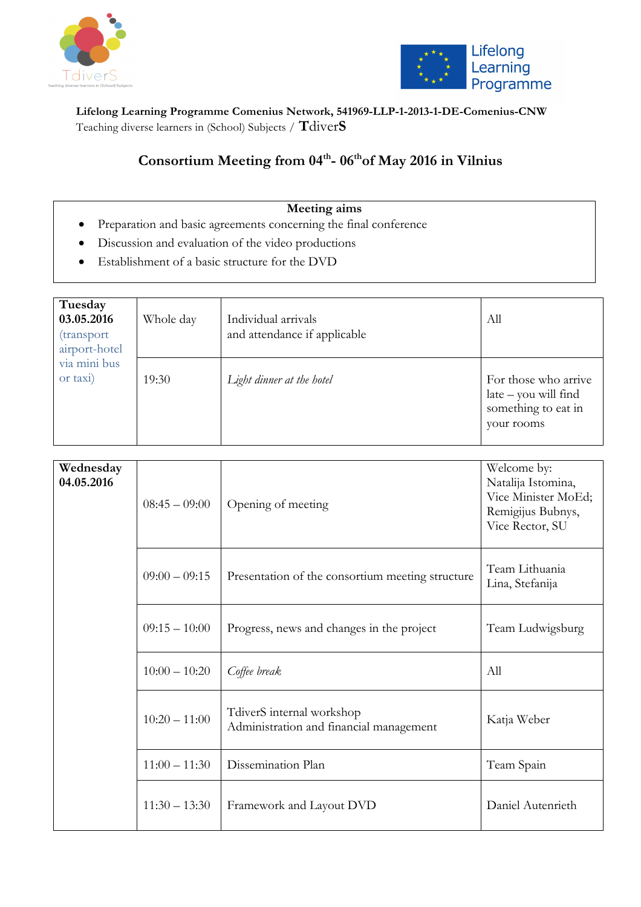



**Lifelong Learning Programme Comenius Network, 541969-LLP-1-2013-1-DE-Comenius-CNW**  Teaching diverse learners in (School) Subjects / **T**diver**S**

## Consortium Meeting from 04<sup>th</sup>-06<sup>th</sup>of May 2016 in Vilnius

#### **Meeting aims**

- Preparation and basic agreements concerning the final conference
- Discussion and evaluation of the video productions
- Establishment of a basic structure for the DVD

| Tuesday<br>03.05.2016<br>(transport<br>airport-hotel | Whole day | Individual arrivals<br>and attendance if applicable | All                                                                                 |
|------------------------------------------------------|-----------|-----------------------------------------------------|-------------------------------------------------------------------------------------|
| via mini bus<br>or taxi)                             | 19:30     | Light dinner at the hotel                           | For those who arrive<br>$late - you will find$<br>something to eat in<br>your rooms |

| Wednesday<br>04.05.2016 | $08:45-09:00$   | Opening of meeting                                                   | Welcome by:<br>Natalija Istomina,<br>Vice Minister MoEd;<br>Remigijus Bubnys,<br>Vice Rector, SU |
|-------------------------|-----------------|----------------------------------------------------------------------|--------------------------------------------------------------------------------------------------|
|                         | $09:00 - 09:15$ | Presentation of the consortium meeting structure                     | Team Lithuania<br>Lina, Stefanija                                                                |
|                         | $09:15 - 10:00$ | Progress, news and changes in the project                            | Team Ludwigsburg                                                                                 |
|                         | $10:00 - 10:20$ | Coffee break                                                         | All                                                                                              |
|                         | $10:20 - 11:00$ | TdiverS internal workshop<br>Administration and financial management | Katja Weber                                                                                      |
|                         | $11:00 - 11:30$ | Dissemination Plan                                                   | Team Spain                                                                                       |
|                         | $11:30 - 13:30$ | Framework and Layout DVD                                             | Daniel Autenrieth                                                                                |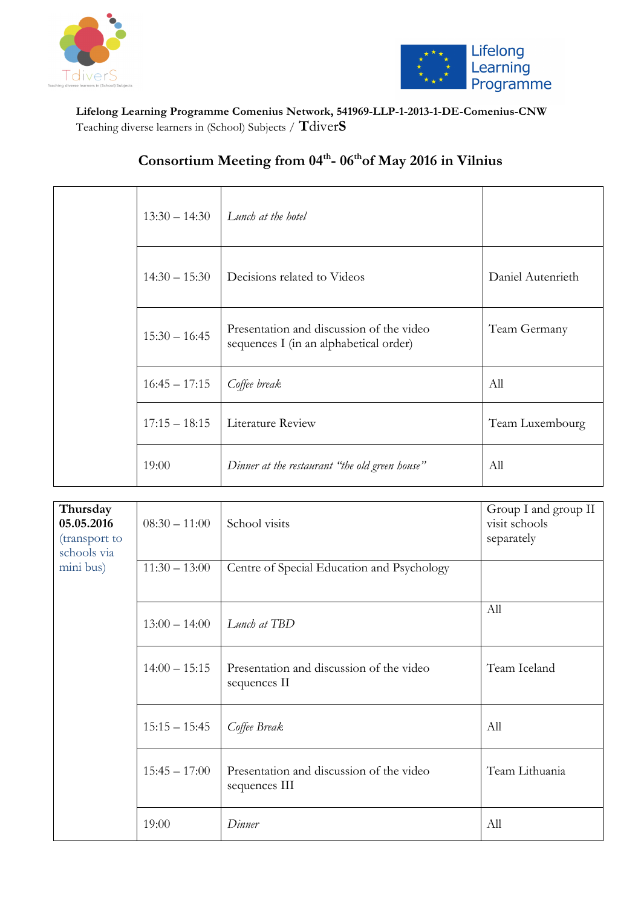



### **Lifelong Learning Programme Comenius Network, 541969-LLP-1-2013-1-DE-Comenius-CNW**  Teaching diverse learners in (School) Subjects / **T**diver**S**

|                 | $13:30 - 14:30$ Lunch at the hotel                                                 |                   |
|-----------------|------------------------------------------------------------------------------------|-------------------|
| $14:30 - 15:30$ | Decisions related to Videos                                                        | Daniel Autenrieth |
| $15:30 - 16:45$ | Presentation and discussion of the video<br>sequences I (in an alphabetical order) | Team Germany      |
| $16:45 - 17:15$ | Coffee break                                                                       | All               |
| $17:15 - 18:15$ | Literature Review                                                                  | Team Luxembourg   |
| 19:00           | Dinner at the restaurant "the old green house"                                     | All               |

# Consortium Meeting from 04<sup>th</sup>-06<sup>th</sup>of May 2016 in Vilnius

| Thursday<br>05.05.2016<br>(transport to<br>schools via | $08:30 - 11:00$ | School visits                                             | Group I and group II<br>visit schools<br>separately |
|--------------------------------------------------------|-----------------|-----------------------------------------------------------|-----------------------------------------------------|
| mini bus)                                              | $11:30 - 13:00$ | Centre of Special Education and Psychology                |                                                     |
|                                                        | $13:00 - 14:00$ | Lunch at TBD                                              | All                                                 |
|                                                        | $14:00 - 15:15$ | Presentation and discussion of the video<br>sequences II  | Team Iceland                                        |
|                                                        | $15:15 - 15:45$ | Coffee Break                                              | All                                                 |
|                                                        | $15:45 - 17:00$ | Presentation and discussion of the video<br>sequences III | Team Lithuania                                      |
|                                                        | 19:00           | Dinner                                                    | All                                                 |